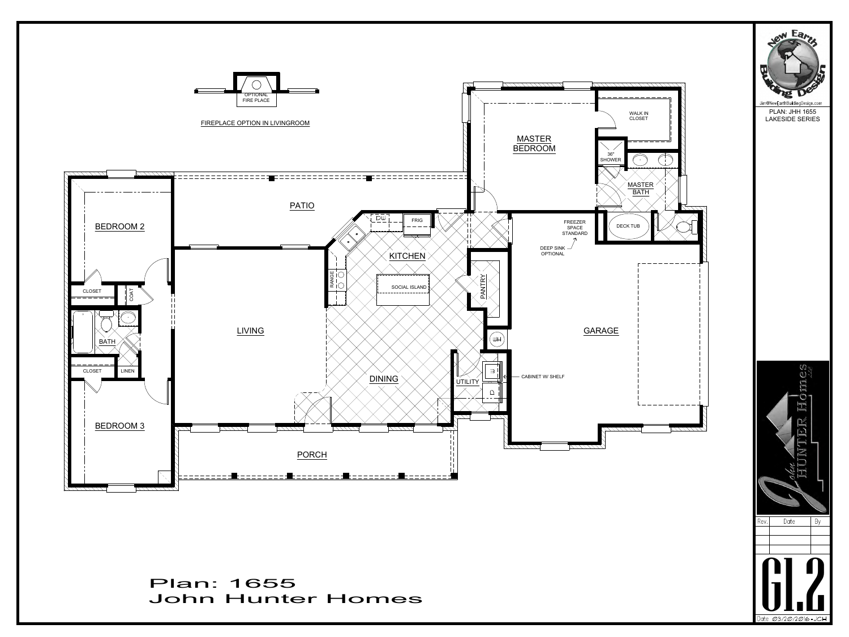

Plan: 1655<br>John Hunter Homes G1.2 Plan: 1655



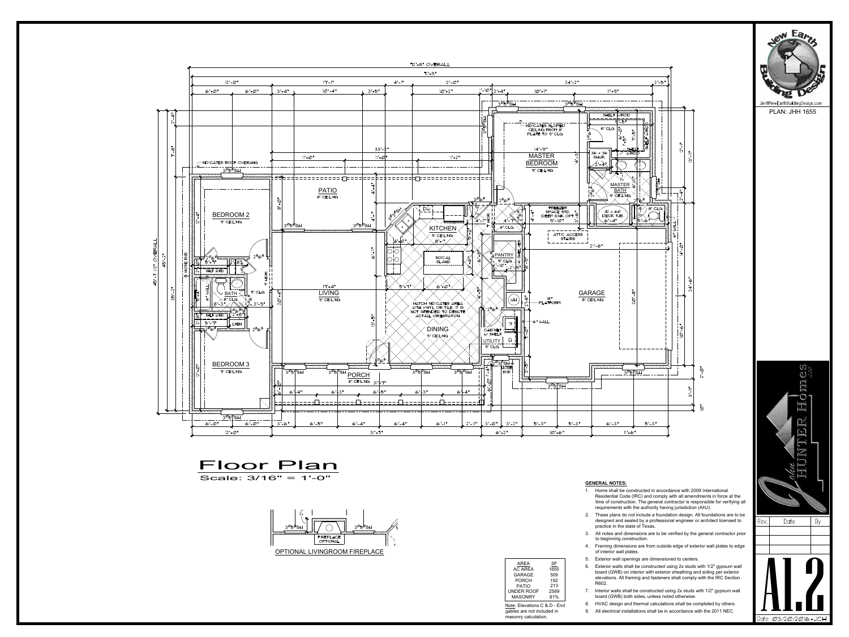

- Residential Code (IRC) and comply with all amendments in force at the time of construction. The general contractor is responsible for verifying all requirements with the authority having jurisdiction (AHJ). **GENERAL NOTES:**<br>
1. Home shall be constructed in accordance with 2009 International<br>
Residential Code (IRC) and comply with all amendments in force at the<br>
time of construction. The general contractor is responsible for v **GENERAL NOTES:**<br>
1. Home shall be constructed in accordance with 2009 International<br>
Residential Code (IRC) and comply with all amendments in force at the<br>
time of construction. The general contractor is responsible for 1. Home shall be constructed in accordance with 2009 International<br>
Residential Code (IRC) and comply with all amendments in force at the<br>
time of construction. The general contractor is responsible for verifying all<br>
req
- designed and sealed by a professional engineer or architect licensed to  $\qquad$  Rev.  $\qquad$  Date practice in the state of Texas.
- to beginning construction.
- of interior wall plates.
- 
- Framing of construction. The general contractor is responsible to<br>requirements with the authority having jurisdiction (AHJ).<br>2. These plans do not include a foundation design. All foundation<br>designed and sealed by a profes These plans do not include a foundation design. All foundations are to be designed and sealed by a professional engineer or architect licensed to practice in the state of Texas.<br>
3. All notes and dimensions are to be verif board (GWB) on interior with exterior sheathing and siding per exterior elevations. All framing and fasteners shall comply with the IRC Section R602. 7. In finites and dimensions are to be verified by the general contractor photometric to beginning construction.<br>
4. Framing dimensions are from outside edge of exterior wall plates to edge of interior wall plates.<br>
5. Ext Frammig unnerisions are nont outside edge or exterior wall plates to edge<br>of interior wall plates.<br>
Exterior walls shall be constructed using 2x studs with 1/2" gypsum wall<br>
board (GWB) on interior with exterior sheathing 9. Exterior wall openings are dimensioned to centers.<br>
9. Exterior walls shall be constructed using  $2x$  studs with  $1/2$ " gypsum wall<br>
board (GWB) on interior with exterior sheathing and siding per exterior<br>
elevations. SF a c  $1655$   $\phantom{00}$   $\phantom{00}$   $\phantom{0}$   $\phantom{0}$ 509  $192$   $\overline{a}$
- board (GWB) both sides, unless noted otherwise. 81% 7. Interior walls shall be constructed using 2x studs with 1/2" gypsum wall
	-
- Note: Elevations C & D End 8. HVAC design and thermal calculations shall be completed by others.<br>gables are not included in 9. All electrical installations shall be in accordance with the 2011 NEC.







## **GENERAL NOTES:**

PLAN: JHH 1655

|                |           | 5.          | F            |
|----------------|-----------|-------------|--------------|
| AREA           | <b>SF</b> |             |              |
| <b>AC AREA</b> | 1655      | 6.          | F            |
| <b>GARAGE</b>  | 509       |             | b١           |
| <b>PORCH</b>   | 192       |             | $\mathbf{e}$ |
| <b>PATIO</b>   | 213       |             | R            |
| UNDER ROOF     | 2569      | $7^{\circ}$ | In           |
| <b>MASONRY</b> | 81%       |             | b١           |
|                |           |             |              |

gables are not included in masonry calculation.

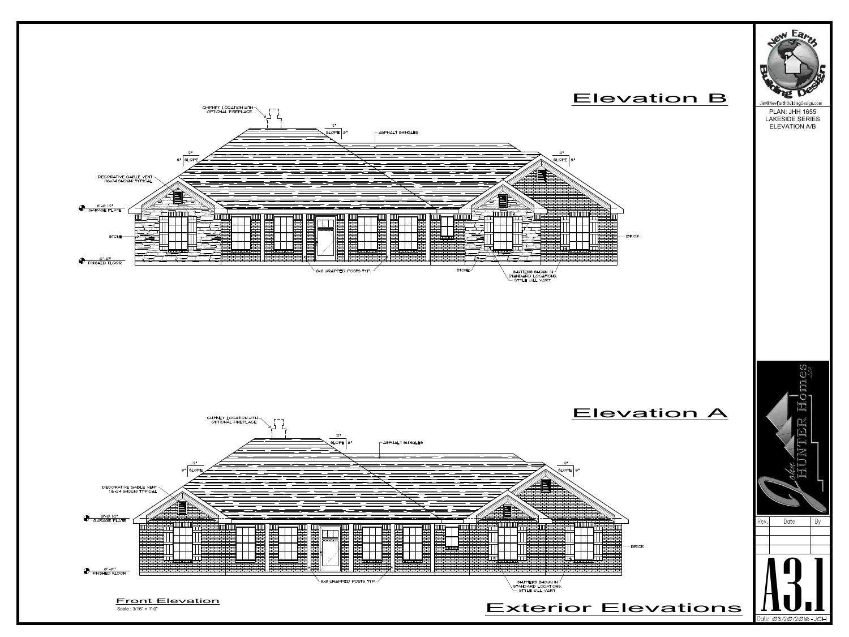





PLAN: JHH 1655 LAKESIDE SERIES ELEVATION A/B

## Elevation B